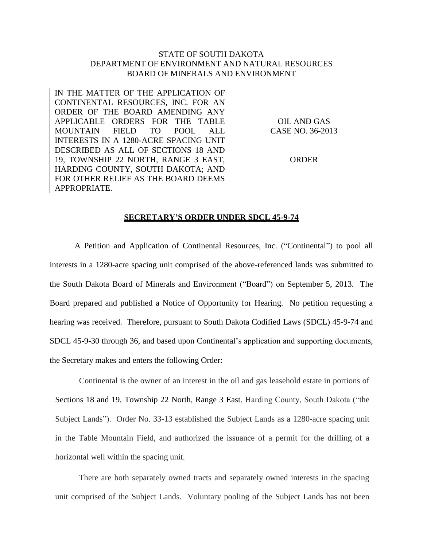## STATE OF SOUTH DAKOTA DEPARTMENT OF ENVIRONMENT AND NATURAL RESOURCES BOARD OF MINERALS AND ENVIRONMENT

| IN THE MATTER OF THE APPLICATION OF   |                  |
|---------------------------------------|------------------|
| CONTINENTAL RESOURCES, INC. FOR AN    |                  |
| ORDER OF THE BOARD AMENDING ANY       |                  |
| APPLICABLE ORDERS FOR THE TABLE       | OIL AND GAS      |
| MOUNTAIN FIELD TO<br>POOL.<br>ALL.    | CASE NO. 36-2013 |
| INTERESTS IN A 1280-ACRE SPACING UNIT |                  |
| DESCRIBED AS ALL OF SECTIONS 18 AND   |                  |
| 19, TOWNSHIP 22 NORTH, RANGE 3 EAST,  | ORDER            |
| HARDING COUNTY, SOUTH DAKOTA; AND     |                  |
| FOR OTHER RELIEF AS THE BOARD DEEMS   |                  |
| APPROPRIATE.                          |                  |

## **SECRETARY'S ORDER UNDER SDCL 45-9-74**

A Petition and Application of Continental Resources, Inc. ("Continental") to pool all interests in a 1280-acre spacing unit comprised of the above-referenced lands was submitted to the South Dakota Board of Minerals and Environment ("Board") on September 5, 2013. The Board prepared and published a Notice of Opportunity for Hearing. No petition requesting a hearing was received. Therefore, pursuant to South Dakota Codified Laws (SDCL) 45-9-74 and SDCL 45-9-30 through 36, and based upon Continental's application and supporting documents, the Secretary makes and enters the following Order:

Continental is the owner of an interest in the oil and gas leasehold estate in portions of Sections 18 and 19, Township 22 North, Range 3 East, Harding County, South Dakota ("the Subject Lands"). Order No. 33-13 established the Subject Lands as a 1280-acre spacing unit in the Table Mountain Field, and authorized the issuance of a permit for the drilling of a horizontal well within the spacing unit.

There are both separately owned tracts and separately owned interests in the spacing unit comprised of the Subject Lands. Voluntary pooling of the Subject Lands has not been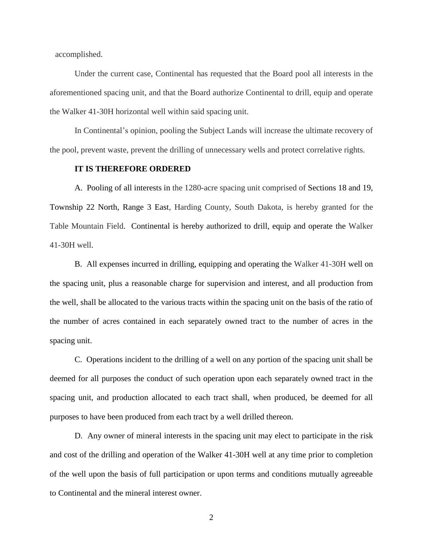accomplished.

Under the current case, Continental has requested that the Board pool all interests in the aforementioned spacing unit, and that the Board authorize Continental to drill, equip and operate the Walker 41-30H horizontal well within said spacing unit.

In Continental's opinion, pooling the Subject Lands will increase the ultimate recovery of the pool, prevent waste, prevent the drilling of unnecessary wells and protect correlative rights.

## **IT IS THEREFORE ORDERED**

A. Pooling of all interests in the 1280-acre spacing unit comprised of Sections 18 and 19, Township 22 North, Range 3 East, Harding County, South Dakota, is hereby granted for the Table Mountain Field. Continental is hereby authorized to drill, equip and operate the Walker 41-30H well.

B. All expenses incurred in drilling, equipping and operating the Walker 41-30H well on the spacing unit, plus a reasonable charge for supervision and interest, and all production from the well, shall be allocated to the various tracts within the spacing unit on the basis of the ratio of the number of acres contained in each separately owned tract to the number of acres in the spacing unit.

C. Operations incident to the drilling of a well on any portion of the spacing unit shall be deemed for all purposes the conduct of such operation upon each separately owned tract in the spacing unit, and production allocated to each tract shall, when produced, be deemed for all purposes to have been produced from each tract by a well drilled thereon.

D. Any owner of mineral interests in the spacing unit may elect to participate in the risk and cost of the drilling and operation of the Walker 41-30H well at any time prior to completion of the well upon the basis of full participation or upon terms and conditions mutually agreeable to Continental and the mineral interest owner.

2